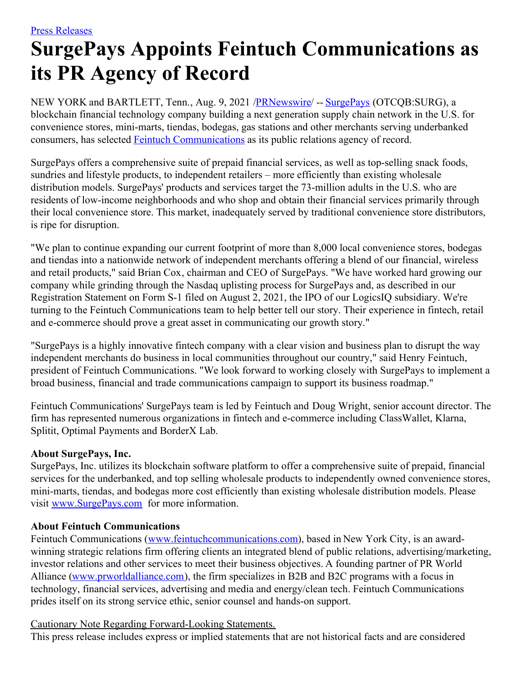# **SurgePays Appoints Feintuch Communications as its PR Agency of Record**

NEW YORK and BARTLETT, Tenn., Aug. 9, 2021 /**PRNewswire/** -- [SurgePays](https://c212.net/c/link/?t=0&l=en&o=3252875-1&h=1538820302&u=https%3A%2F%2Fsurgepays.com%2F&a=SurgePays) (OTCQB:SURG), a blockchain financial technology company building a next generation supply chain network in the U.S. for convenience stores, mini-marts, tiendas, bodegas, gas stations and other merchants serving underbanked consumers, has selected Feintuch [Communications](https://c212.net/c/link/?t=0&l=en&o=3252875-1&h=413121422&u=http%3A%2F%2Fwww.feintuchcommunications.com%2F&a=Feintuch+Communications) as its public relations agency of record.

SurgePays offers a comprehensive suite of prepaid financial services, as well as top-selling snack foods, sundries and lifestyle products, to independent retailers – more efficiently than existing wholesale distribution models. SurgePays' products and services target the 73-million adults in the U.S. who are residents of low-income neighborhoods and who shop and obtain their financial services primarily through their local convenience store. This market, inadequately served by traditional convenience store distributors, is ripe for disruption.

"We plan to continue expanding our current footprint of more than 8,000 local convenience stores, bodegas and tiendas into a nationwide network of independent merchants offering a blend of our financial, wireless and retail products," said Brian Cox, chairman and CEO of SurgePays. "We have worked hard growing our company while grinding through the Nasdaq uplisting process for SurgePays and, as described in our Registration Statement on Form S-1 filed on August 2, 2021, the IPO of our LogicsIQ subsidiary. We're turning to the Feintuch Communications team to help better tell our story. Their experience in fintech, retail and e-commerce should prove a great asset in communicating our growth story."

"SurgePays is a highly innovative fintech company with a clear vision and business plan to disrupt the way independent merchants do business in local communities throughout our country," said Henry Feintuch, president of Feintuch Communications. "We look forward to working closely with SurgePays to implement a broad business, financial and trade communications campaign to support its business roadmap."

Feintuch Communications' SurgePays team is led by Feintuch and Doug Wright, senior account director. The firm has represented numerous organizations in fintech and e-commerce including ClassWallet, Klarna, Splitit, Optimal Payments and BorderX Lab.

## **About SurgePays, Inc.**

SurgePays, Inc. utilizes its blockchain software platform to offer a comprehensive suite of prepaid, financial services for the underbanked, and top selling wholesale products to independently owned convenience stores, mini-marts, tiendas, and bodegas more cost efficiently than existing wholesale distribution models. Please visit [www.SurgePays.com](https://c212.net/c/link/?t=0&l=en&o=3252875-1&h=2725625412&u=http%3A%2F%2Fwww.surgepays.com%2F&a=www.SurgePays.com) for more information.

## **About Feintuch Communications**

Feintuch Communications [\(www.feintuchcommunications.com](https://c212.net/c/link/?t=0&l=en&o=3252875-1&h=894024314&u=http%3A%2F%2Fwww.feintuchcommunications.com%2F&a=www.feintuchcommunications.com)), based in New York City, is an awardwinning strategic relations firm offering clients an integrated blend of public relations, advertising/marketing, investor relations and other services to meet their business objectives. A founding partner of PR World Alliance [\(www.prworldalliance.com](https://c212.net/c/link/?t=0&l=en&o=3252875-1&h=1721134509&u=http%3A%2F%2Fwww.prworldalliance.com%2F&a=www.prworldalliance.com)), the firm specializes in B2B and B2C programs with a focus in technology, financial services, advertising and media and energy/clean tech. Feintuch Communications prides itself on its strong service ethic, senior counsel and hands-on support.

#### Cautionary Note Regarding Forward-Looking Statements.

This press release includes express or implied statements that are not historical facts and are considered